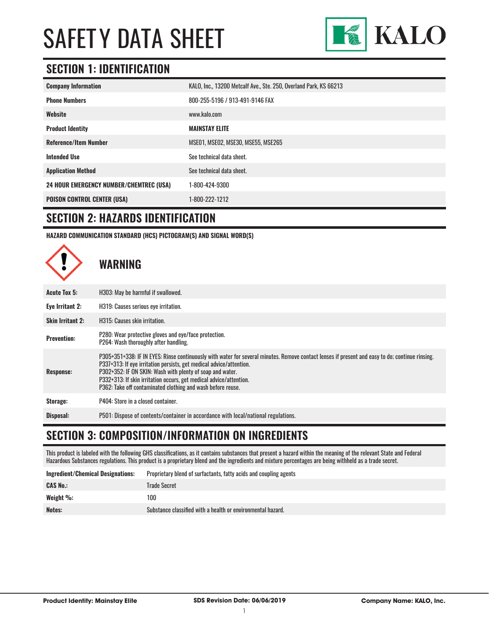

### **SECTION 1: IDENTIFICATION**

| <b>Company Information</b>                     | KALO, Inc., 13200 Metcalf Ave., Ste. 250, Overland Park, KS 66213 |
|------------------------------------------------|-------------------------------------------------------------------|
| <b>Phone Numbers</b>                           | 800-255-5196 / 913-491-9146 FAX                                   |
| Website                                        | www.kalo.com                                                      |
| <b>Product Identity</b>                        | <b>MAINSTAY ELITE</b>                                             |
| <b>Reference/Item Number</b>                   | MSE01, MSE02, MSE30, MSE55, MSE265                                |
| <b>Intended Use</b>                            | See technical data sheet.                                         |
| <b>Application Method</b>                      | See technical data sheet.                                         |
| <b>24 HOUR EMERGENCY NUMBER/CHEMTREC (USA)</b> | 1-800-424-9300                                                    |
| <b>POISON CONTROL CENTER (USA)</b>             | 1-800-222-1212                                                    |

#### **SECTION 2: HAZARDS IDENTIFICATION**

**HAZARD COMMUNICATION STANDARD (HCS) PICTOGRAM(S) AND SIGNAL WORD(S)**



#### **SECTION 3: COMPOSITION/INFORMATION ON INGREDIENTS**

This product is labeled with the following GHS classifications, as it contains substances that present a hazard within the meaning of the relevant State and Federal Hazardous Substances regulations. This product is a proprietary blend and the ingredients and mixture percentages are being withheld as a trade secret.

| Ingredient/Chemical Designations: | Proprietary blend of surfactants, fatty acids and coupling agents |
|-----------------------------------|-------------------------------------------------------------------|
| <b>CAS No.:</b>                   | Trade Secret                                                      |
| Weight %:                         | 100                                                               |
| Notes:                            | Substance classified with a health or environmental hazard.       |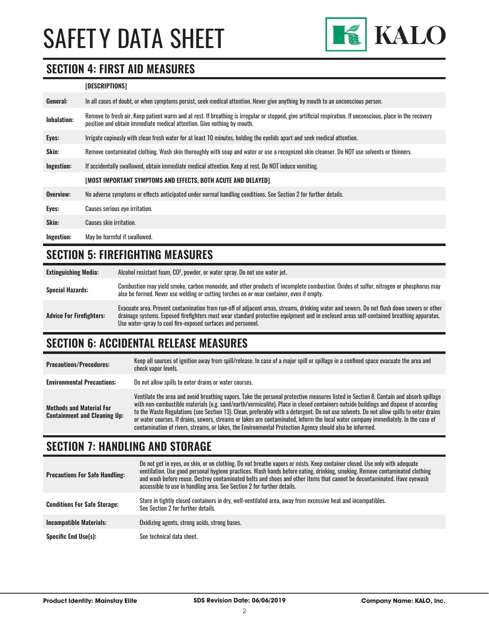

# **SECTION 4: FIRST AID MEASURES**

#### **[DESCRIPTIONS]**

| General:    | In all cases of doubt, or when symptoms persist, seek medical attention. Never give anything by mouth to an unconscious person.                                                                                                         |
|-------------|-----------------------------------------------------------------------------------------------------------------------------------------------------------------------------------------------------------------------------------------|
| Inhalation: | Remove to fresh air. Keep patient warm and at rest. If breathing is irregular or stopped, give artificial respiration. If unconscious, place in the recovery<br>position and obtain immediate medical attention. Give nothing by mouth. |
| Eyes:       | Irrigate copiously with clean fresh water for at least 10 minutes, holding the eyelids apart and seek medical attention.                                                                                                                |
| Skin:       | Remove contaminated clothing. Wash skin thoroughly with soap and water or use a recognized skin cleanser. Do NOT use solvents or thinners.                                                                                              |
| Ingestion:  | If accidentally swallowed, obtain immediate medical attention. Keep at rest. Do NOT induce vomiting.                                                                                                                                    |
|             | [MOST IMPORTANT SYMPTOMS AND EFFECTS, BOTH ACUTE AND DELAYED]                                                                                                                                                                           |
| Overview:   | No adverse symptoms or effects anticipated under normal handling conditions. See Section 2 for further details.                                                                                                                         |
| Eyes:       | Causes serious eye irritation.                                                                                                                                                                                                          |
| Skin:       | Causes skin irritation.                                                                                                                                                                                                                 |
| Ingestion:  | May be harmful if swallowed.                                                                                                                                                                                                            |

# **SECTION 5: FIREFIGHTING MEASURES**

| <b>Extinguishing Media:</b>     | Alcohol resistant foam, CO <sup>2</sup> , powder, or water spray. Do not use water jet.                                                                                                                                                                                                                                                                |
|---------------------------------|--------------------------------------------------------------------------------------------------------------------------------------------------------------------------------------------------------------------------------------------------------------------------------------------------------------------------------------------------------|
| <b>Special Hazards:</b>         | Combustion may yield smoke, carbon monoxide, and other products of incomplete combustion. Oxides of sulfur, nitrogen or phosphorus may<br>also be formed. Never use welding or cutting torches on or near container, even if empty.                                                                                                                    |
| <b>Advice For Firefighters:</b> | Evacuate area. Prevent contamination from run-off of adjacent areas, streams, drinking water and sewers. Do not flush down sewers or other<br>drainage systems. Exposed firefighters must wear standard protective equipment and in enclosed areas self-contained breathing apparatus.<br>Use water-spray to cool fire-exposed surfaces and personnel. |

# **SECTION 6: ACCIDENTAL RELEASE MEASURES**

| <b>Precautions/Procedures:</b>                                         | Keep all sources of ignition away from spill/release. In case of a major spill or spillage in a confined space evacuate the area and<br>check vapor levels.                                                                                                                                                                                                                                                                                                                                                                                                                                                                                                               |
|------------------------------------------------------------------------|---------------------------------------------------------------------------------------------------------------------------------------------------------------------------------------------------------------------------------------------------------------------------------------------------------------------------------------------------------------------------------------------------------------------------------------------------------------------------------------------------------------------------------------------------------------------------------------------------------------------------------------------------------------------------|
| <b>Environmental Precautions:</b>                                      | Do not allow spills to enter drains or water courses.                                                                                                                                                                                                                                                                                                                                                                                                                                                                                                                                                                                                                     |
| <b>Methods and Material For</b><br><b>Containment and Cleaning Up:</b> | Ventilate the area and avoid breathing vapors. Take the personal protective measures listed in Section 8. Contain and absorb spillage<br>with non-combustible materials (e.g. sand/earth/vermiculite). Place in closed containers outside buildings and dispose of according<br>to the Waste Regulations (see Section 13). Clean, preferably with a detergent. Do not use solvents. Do not allow spills to enter drains<br>or water courses. If drains, sewers, streams or lakes are contaminated, inform the local water company immediately. In the case of<br>contamination of rivers, streams, or lakes, the Environmental Protection Agency should also be informed. |

# **SECTION 7: HANDLING AND STORAGE**

| <b>Precautions For Safe Handling:</b> | Do not get in eyes, on skin, or on clothing. Do not breathe vapors or mists. Keep container closed. Use only with adequate<br>ventilation. Use good personal hygiene practices. Wash hands before eating, drinking, smoking. Remove contaminated clothing<br>and wash before reuse. Destroy contaminated belts and shoes and other items that cannot be decontaminated. Have eyewash<br>accessible to use in handling area. See Section 2 for further details. |
|---------------------------------------|----------------------------------------------------------------------------------------------------------------------------------------------------------------------------------------------------------------------------------------------------------------------------------------------------------------------------------------------------------------------------------------------------------------------------------------------------------------|
| <b>Conditions For Safe Storage:</b>   | Store in tightly closed containers in dry, well-ventilated area, away from excessive heat and incompatibles.<br>See Section 2 for further details.                                                                                                                                                                                                                                                                                                             |
| <b>Incompatible Materials:</b>        | Oxidizing agents, strong acids, strong bases.                                                                                                                                                                                                                                                                                                                                                                                                                  |
| <b>Specific End Use(s):</b>           | See technical data sheet.                                                                                                                                                                                                                                                                                                                                                                                                                                      |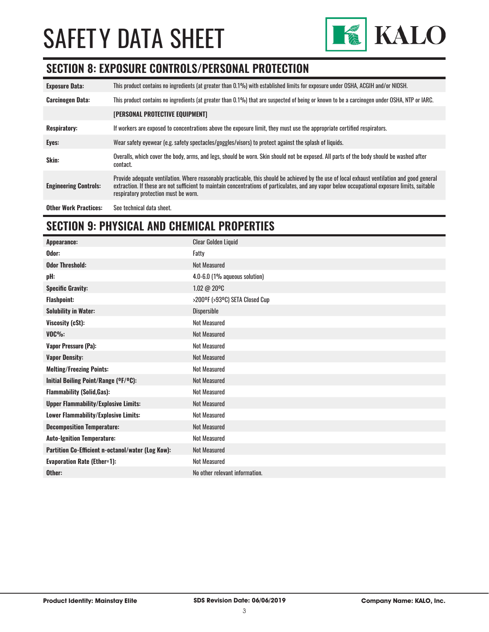

### **SECTION 8: EXPOSURE CONTROLS/PERSONAL PROTECTION**

| <b>Exposure Data:</b>        | This product contains no ingredients (at greater than 0.1%) with established limits for exposure under OSHA, ACGIH and/or NIOSH.                                                                                                                                                                                                       |
|------------------------------|----------------------------------------------------------------------------------------------------------------------------------------------------------------------------------------------------------------------------------------------------------------------------------------------------------------------------------------|
| <b>Carcinogen Data:</b>      | This product contains no ingredients (at greater than 0.1%) that are suspected of being or known to be a carcinogen under OSHA, NTP or IARC.                                                                                                                                                                                           |
|                              | [PERSONAL PROTECTIVE EQUIPMENT]                                                                                                                                                                                                                                                                                                        |
| <b>Respiratory:</b>          | If workers are exposed to concentrations above the exposure limit, they must use the appropriate certified respirators.                                                                                                                                                                                                                |
| Eyes:                        | Wear safety eyewear (e.g. safety spectacles/goggles/visors) to protect against the splash of liquids.                                                                                                                                                                                                                                  |
| Skin:                        | Overalls, which cover the body, arms, and legs, should be worn. Skin should not be exposed. All parts of the body should be washed after<br>contact.                                                                                                                                                                                   |
| <b>Engineering Controls:</b> | Provide adequate ventilation. Where reasonably practicable, this should be achieved by the use of local exhaust ventilation and good general<br>extraction. If these are not sufficient to maintain concentrations of particulates, and any vapor below occupational exposure limits, suitable<br>respiratory protection must be worn. |
| <b>Other Work Practices:</b> | See technical data sheet.                                                                                                                                                                                                                                                                                                              |

# **SECTION 9: PHYSICAL AND CHEMICAL PROPERTIES**

| Appearance:                                       | <b>Clear Golden Liquid</b>     |
|---------------------------------------------------|--------------------------------|
| Odor:                                             | Fatty                          |
| <b>Odor Threshold:</b>                            | <b>Not Measured</b>            |
| pH:                                               | 4.0-6.0 (1% aqueous solution)  |
| <b>Specific Gravity:</b>                          | 1.02 @ 20°C                    |
| <b>Flashpoint:</b>                                | >200°F (>93°C) SETA Closed Cup |
| <b>Solubility in Water:</b>                       | Dispersible                    |
| Viscosity (cSt):                                  | <b>Not Measured</b>            |
| $VOC\%$ :                                         | <b>Not Measured</b>            |
| <b>Vapor Pressure (Pa):</b>                       | <b>Not Measured</b>            |
| <b>Vapor Density:</b>                             | <b>Not Measured</b>            |
| <b>Melting/Freezing Points:</b>                   | <b>Not Measured</b>            |
| Initial Boiling Point/Range (OF/OC):              | Not Measured                   |
| <b>Flammability (Solid, Gas):</b>                 | <b>Not Measured</b>            |
| <b>Upper Flammability/Explosive Limits:</b>       | Not Measured                   |
| <b>Lower Flammability/Explosive Limits:</b>       | <b>Not Measured</b>            |
| <b>Decomposition Temperature:</b>                 | <b>Not Measured</b>            |
| <b>Auto-Ignition Temperature:</b>                 | Not Measured                   |
| Partition Co-Efficient n-octanol/water (Log Kow): | <b>Not Measured</b>            |
| <b>Evaporation Rate (Ether=1):</b>                | Not Measured                   |
| Other:                                            | No other relevant information. |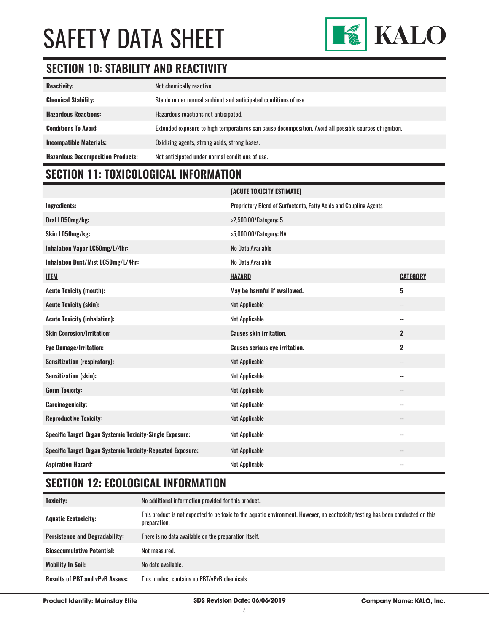

# **SECTION 10: STABILITY AND REACTIVITY**

| <b>Reactivity:</b>                       | Not chemically reactive.                                                                                |
|------------------------------------------|---------------------------------------------------------------------------------------------------------|
| <b>Chemical Stability:</b>               | Stable under normal ambient and anticipated conditions of use.                                          |
| <b>Hazardous Reactions:</b>              | Hazardous reactions not anticipated.                                                                    |
| <b>Conditions To Avoid:</b>              | Extended exposure to high temperatures can cause decomposition. Avoid all possible sources of ignition. |
| <b>Incompatible Materials:</b>           | Oxidizing agents, strong acids, strong bases.                                                           |
| <b>Hazardous Decomposition Products:</b> | Not anticipated under normal conditions of use.                                                         |

# **SECTION 11: TOXICOLOGICAL INFORMATION**

|                                                                   | [ACUTE TOXICITY ESTIMATE]                                         |                            |
|-------------------------------------------------------------------|-------------------------------------------------------------------|----------------------------|
| Ingredients:                                                      | Proprietary Blend of Surfactants, Fatty Acids and Coupling Agents |                            |
| Oral LD50mg/kg:                                                   | >2,500.00/Category: 5                                             |                            |
| Skin LD50mg/kg:                                                   | >5,000.00/Category: NA                                            |                            |
| Inhalation Vapor LC50mg/L/4hr:                                    | No Data Available                                                 |                            |
| Inhalation Dust/Mist LC50mg/L/4hr:                                | No Data Available                                                 |                            |
| <b>ITEM</b>                                                       | <b>HAZARD</b>                                                     | <b>CATEGORY</b>            |
| <b>Acute Toxicity (mouth):</b>                                    | May be harmful if swallowed.                                      | 5                          |
| <b>Acute Toxicity (skin):</b>                                     | <b>Not Applicable</b>                                             | $\qquad \qquad -$          |
| <b>Acute Toxicity (inhalation):</b>                               | <b>Not Applicable</b>                                             | $\overline{\phantom{a}}$   |
| <b>Skin Corrosion/Irritation:</b>                                 | <b>Causes skin irritation.</b>                                    | $\overline{2}$             |
| <b>Eye Damage/Irritation:</b>                                     | <b>Causes serious eye irritation.</b>                             | $\mathbf 2$                |
| <b>Sensitization (respiratory):</b>                               | <b>Not Applicable</b>                                             | $\overline{\phantom{a}}$   |
| <b>Sensitization (skin):</b>                                      | <b>Not Applicable</b>                                             | $\overline{\phantom{a}}$ . |
| <b>Germ Toxicity:</b>                                             | <b>Not Applicable</b>                                             | $-$                        |
| <b>Carcinogenicity:</b>                                           | <b>Not Applicable</b>                                             | $\overline{\phantom{a}}$ . |
| <b>Reproductive Toxicity:</b>                                     | <b>Not Applicable</b>                                             | $\overline{\phantom{a}}$   |
| Specific Target Organ Systemic Toxicity-Single Exposure:          | <b>Not Applicable</b>                                             | $\overline{\phantom{a}}$ . |
| <b>Specific Target Organ Systemic Toxicity-Repeated Exposure:</b> | <b>Not Applicable</b>                                             | $-$                        |
| <b>Aspiration Hazard:</b>                                         | <b>Not Applicable</b>                                             | $-$                        |

# **SECTION 12: ECOLOGICAL INFORMATION**

| Toxicity:                              | No additional information provided for this product.                                                                                            |
|----------------------------------------|-------------------------------------------------------------------------------------------------------------------------------------------------|
| <b>Aquatic Ecotoxicity:</b>            | This product is not expected to be toxic to the aquatic environment. However, no ecotoxicity testing has been conducted on this<br>preparation. |
| <b>Persistence and Degradability:</b>  | There is no data available on the preparation itself.                                                                                           |
| <b>Bioaccumulative Potential:</b>      | Not measured.                                                                                                                                   |
| <b>Mobility In Soil:</b>               | No data available.                                                                                                                              |
| <b>Results of PBT and vPvB Assess:</b> | This product contains no PBT/vPvB chemicals.                                                                                                    |